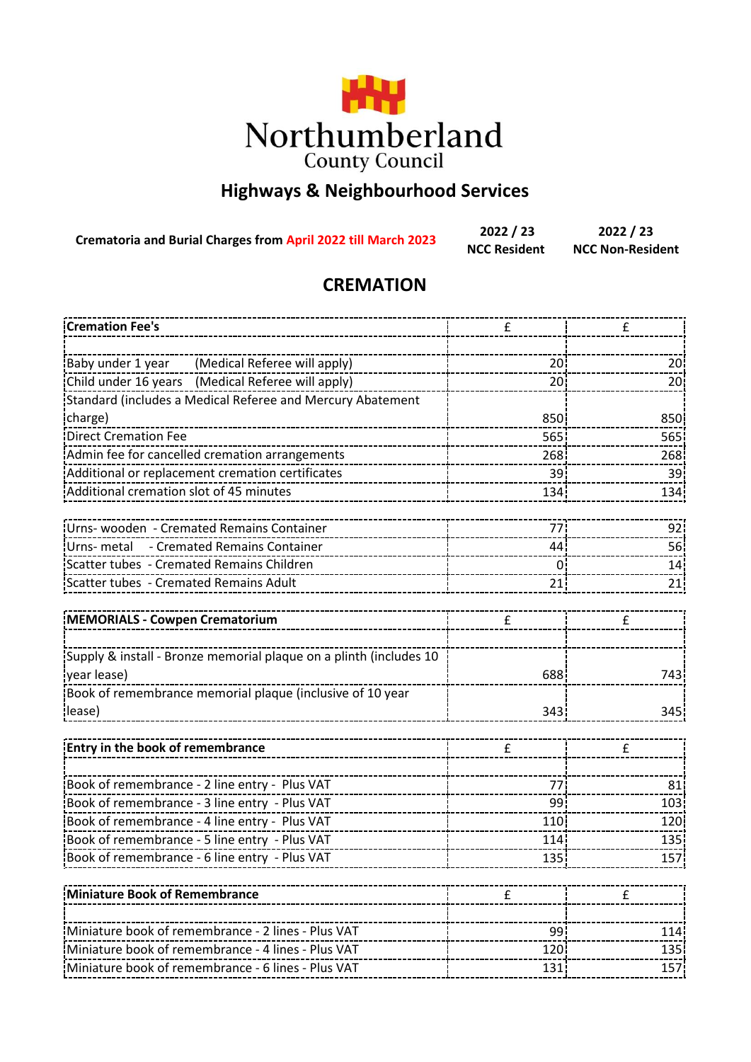

## **Highways & Neighbourhood Services**

**Crematoria and Burial Charges from April 2022 till March 2023**

**2022 / 23 2022 / 23 NCC Resident NCC Non-Resident**

## **CREMATION**

| <b>Cremation Fee's</b>                                             | £               | £                |  |
|--------------------------------------------------------------------|-----------------|------------------|--|
|                                                                    |                 |                  |  |
| (Medical Referee will apply)<br>Baby under 1 year                  | 20 <sup>1</sup> | 20 <sup>1</sup>  |  |
| Child under 16 years (Medical Referee will apply)                  | 20              | 20               |  |
| Standard (includes a Medical Referee and Mercury Abatement         |                 |                  |  |
| charge)                                                            | 850<br>850      |                  |  |
| <b>Direct Cremation Fee</b>                                        | 565             | 565              |  |
| Admin fee for cancelled cremation arrangements                     | 268<br>268      |                  |  |
| Additional or replacement cremation certificates                   | 39<br>39        |                  |  |
| Additional cremation slot of 45 minutes                            | 134             | 134              |  |
| Urns- wooden - Cremated Remains Container                          | 77              | 92               |  |
| Urns- metal - Cremated Remains Container                           | 44              | 56               |  |
| Scatter tubes - Cremated Remains Children                          | $\mathbf 0$     | 14               |  |
| Scatter tubes - Cremated Remains Adult                             | 21              | 21               |  |
|                                                                    |                 |                  |  |
| MEMORIALS - Cowpen Crematorium                                     | £               | £                |  |
|                                                                    |                 |                  |  |
| Supply & install - Bronze memorial plaque on a plinth (includes 10 |                 |                  |  |
| year lease)                                                        | 688             | 743              |  |
| Book of remembrance memorial plaque (inclusive of 10 year          |                 |                  |  |
| lease)                                                             | 343             | 345              |  |
| <b>Entry in the book of remembrance</b>                            | £               | £                |  |
|                                                                    |                 |                  |  |
| Book of remembrance - 2 line entry - Plus VAT                      | 77              | 81               |  |
| Book of remembrance - 3 line entry - Plus VAT                      | 99              | 103              |  |
| Book of remembrance - 4 line entry - Plus VAT                      | 110             | 120              |  |
| Book of remembrance - 5 line entry - Plus VAT                      | 114             | 135              |  |
| Book of remembrance - 6 line entry - Plus VAT                      | 135             | 157              |  |
| Miniature Book of Remembrance                                      | £               | £                |  |
|                                                                    |                 |                  |  |
| Miniature book of remembrance - 2 lines - Plus VAT                 | 99              | 114              |  |
| Miniature book of remembrance - 4 lines - Plus VAT                 | 120             | 135              |  |
| Miniature book of remembrance - 6 lines - Plus VAT                 | 131             | 157 <sub>1</sub> |  |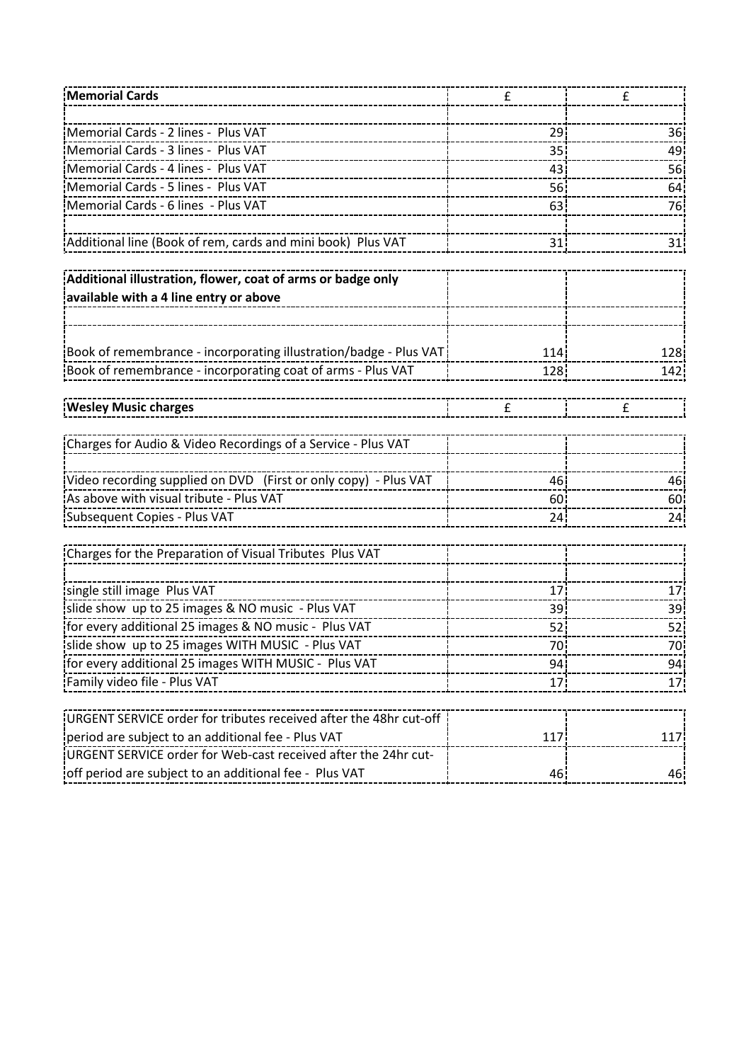| Memorial Cards                                                    | £               | £               |
|-------------------------------------------------------------------|-----------------|-----------------|
|                                                                   |                 |                 |
| Memorial Cards - 2 lines - Plus VAT                               | 29              | 36              |
| Memorial Cards - 3 lines - Plus VAT                               | 35              | 49              |
| Memorial Cards - 4 lines - Plus VAT                               | 43              | 56              |
| Memorial Cards - 5 lines - Plus VAT                               | <b>56</b>       | 64              |
| Memorial Cards - 6 lines - Plus VAT                               | 63              | 76              |
| Additional line (Book of rem, cards and mini book) Plus VAT       | 31              | 31              |
|                                                                   |                 |                 |
| Additional illustration, flower, coat of arms or badge only       |                 |                 |
| available with a 4 line entry or above                            |                 |                 |
|                                                                   |                 |                 |
|                                                                   |                 |                 |
| Book of remembrance - incorporating illustration/badge - Plus VAT | 114             | 128             |
| Book of remembrance - incorporating coat of arms - Plus VAT       | 128             | 142             |
|                                                                   |                 |                 |
| <b>Wesley Music charges</b>                                       | £               | £               |
|                                                                   |                 |                 |
| Charges for Audio & Video Recordings of a Service - Plus VAT      |                 |                 |
|                                                                   |                 |                 |
| Video recording supplied on DVD (First or only copy) - Plus VAT   | 46              | 46              |
| As above with visual tribute - Plus VAT                           | 60              | 60              |
| Subsequent Copies - Plus VAT                                      | 24              | 24              |
|                                                                   |                 |                 |
| Charges for the Preparation of Visual Tributes Plus VAT           |                 |                 |
| single still image Plus VAT                                       | 17              | 17 <sup>1</sup> |
| slide show up to 25 images & NO music - Plus VAT                  | 39              | 39              |
| for every additional 25 images & NO music - Plus VAT              | 52              | 52              |
| slide show up to 25 images WITH MUSIC - Plus VAT                  | 70              | 70              |
| For every additional 25 images WITH MUSIC - Plus VAT              | 94¦             | 94I             |
| --------------<br>Family video file - Plus VAT                    | 17 <sub>1</sub> | 17              |
|                                                                   |                 |                 |
| URGENT SERVICE order for tributes received after the 48hr cut-off |                 |                 |
| period are subject to an additional fee - Plus VAT                | 117             | 117             |
| URGENT SERVICE order for Web-cast received after the 24hr cut-    |                 |                 |
| off period are subject to an additional fee - Plus VAT            | 46              | 46              |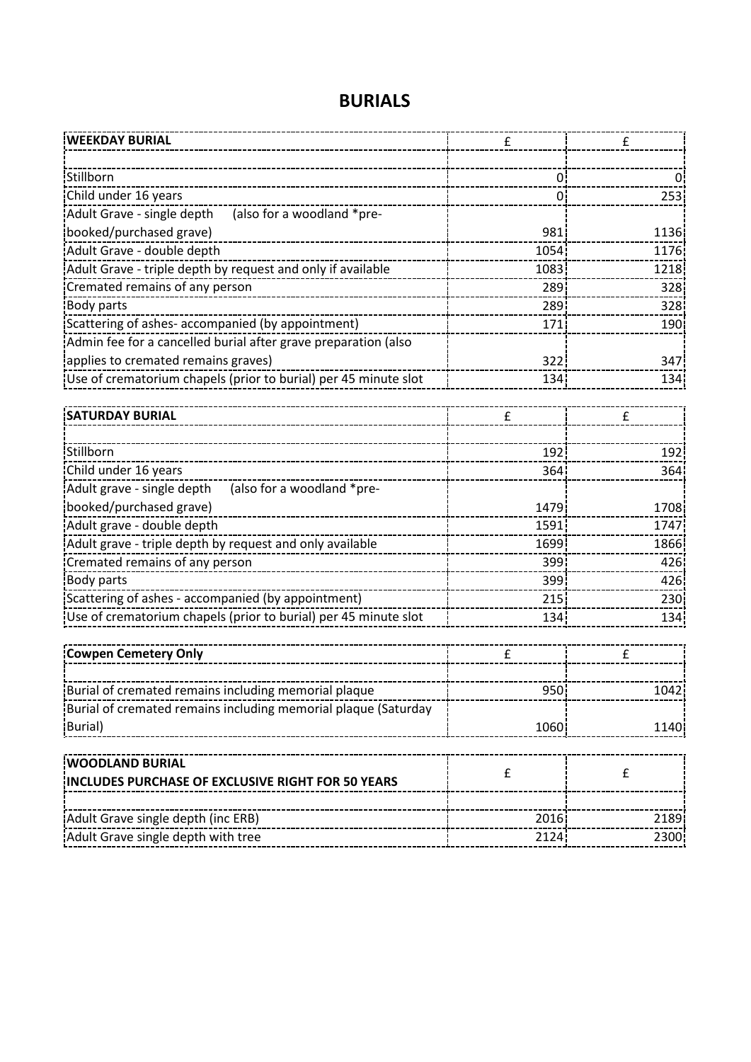| <b>WEEKDAY BURIAL</b>                                                        | £                | £        |
|------------------------------------------------------------------------------|------------------|----------|
|                                                                              |                  |          |
| Stillborn                                                                    | 0.               | $\Omega$ |
| Child under 16 years                                                         | 0.               | 253      |
| Adult Grave - single depth<br>(also for a woodland *pre-                     |                  |          |
| booked/purchased grave)                                                      | 981 <sup>1</sup> | 1136     |
| Adult Grave - double depth                                                   | 1054             | 1176     |
| Adult Grave - triple depth by request and only if available                  | 1083             | 1218     |
| Cremated remains of any person                                               | 289              | 328      |
| Body parts                                                                   | 289              | 328      |
| Scattering of ashes- accompanied (by appointment)                            | 171              | 190      |
| Admin fee for a cancelled burial after grave preparation (also               |                  |          |
| applies to cremated remains graves)                                          | 322              | 347      |
| Use of crematorium chapels (prior to burial) per 45 minute slot              | 134              | 134      |
|                                                                              |                  |          |
| <b>SATURDAY BURIAL</b>                                                       | £                | £        |
|                                                                              |                  |          |
| Stillborn                                                                    | 192              | 192      |
| Child under 16 years                                                         | 364              | 364      |
| (also for a woodland *pre-<br>Adult grave - single depth                     |                  |          |
| booked/purchased grave)                                                      | 1479             | 1708     |
| Adult grave - double depth                                                   | 1591             | 1747     |
| Adult grave - triple depth by request and only available                     | 1699             | 1866     |
| Cremated remains of any person                                               | 399              | 426      |
| Body parts                                                                   | 399              | 426      |
| Scattering of ashes - accompanied (by appointment)                           | 215              | 230      |
| Use of crematorium chapels (prior to burial) per 45 minute slot              | 134              | 134      |
|                                                                              |                  |          |
| <b>Cowpen Cemetery Only</b>                                                  | £                | £        |
|                                                                              |                  |          |
| Burial of cremated remains including memorial plaque                         | 950              | 1042     |
| Burial of cremated remains including memorial plaque (Saturday               |                  |          |
| Burial)                                                                      | 1060             | 1140     |
|                                                                              |                  |          |
| <b>WOODLAND BURIAL</b>                                                       |                  |          |
| INCLUDES PURCHASE OF EXCLUSIVE RIGHT FOR 50 YEARS                            | £                | £        |
|                                                                              |                  |          |
| Adult Grave single depth (inc ERB)                                           | 2016             | 2189     |
| --------------------------------------<br>Adult Grave single depth with tree | 2124             | 2300     |
|                                                                              |                  |          |

## **BURIALS**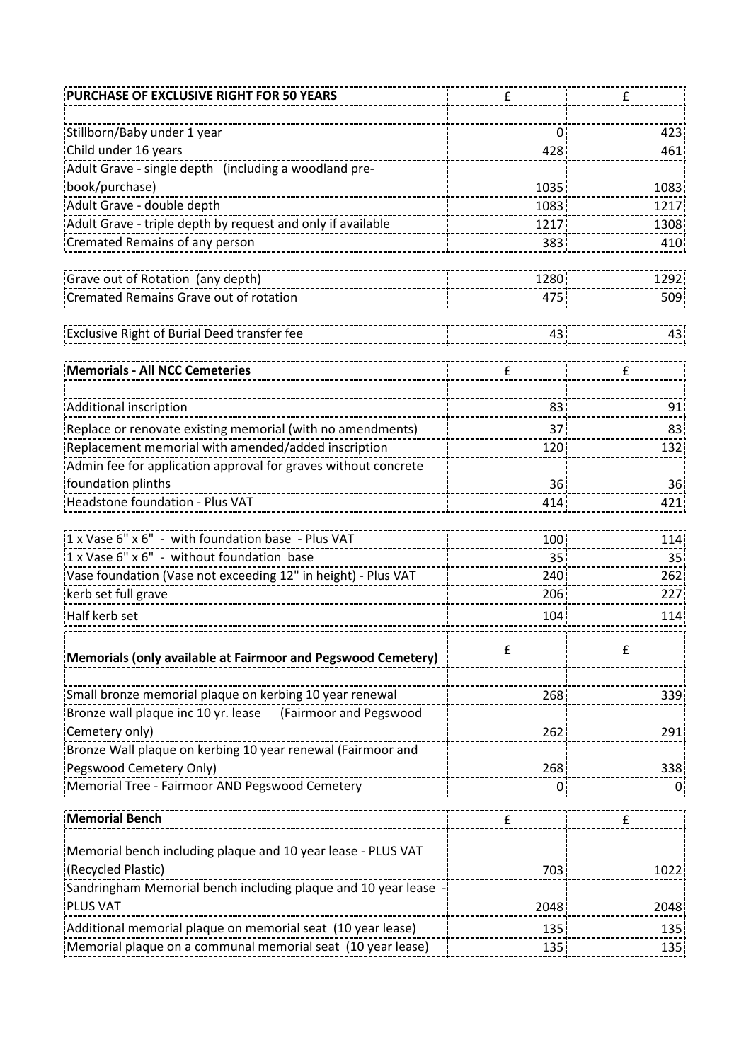| 423             |
|-----------------|
| 461             |
|                 |
| 1083            |
| 1217            |
| 1308            |
| 410             |
|                 |
| 1292            |
| 509             |
|                 |
| 431             |
|                 |
|                 |
| 91              |
| 83              |
| 132!            |
|                 |
| 36 <sub>1</sub> |
| 421             |
|                 |
| 114             |
| 35              |
| 262i            |
| 227             |
| 114             |
|                 |
| 339             |
|                 |
| 291             |
|                 |
| 338             |
| 0               |
|                 |
|                 |
|                 |
| 1022            |
|                 |
| 2048            |
| 135             |
|                 |
|                 |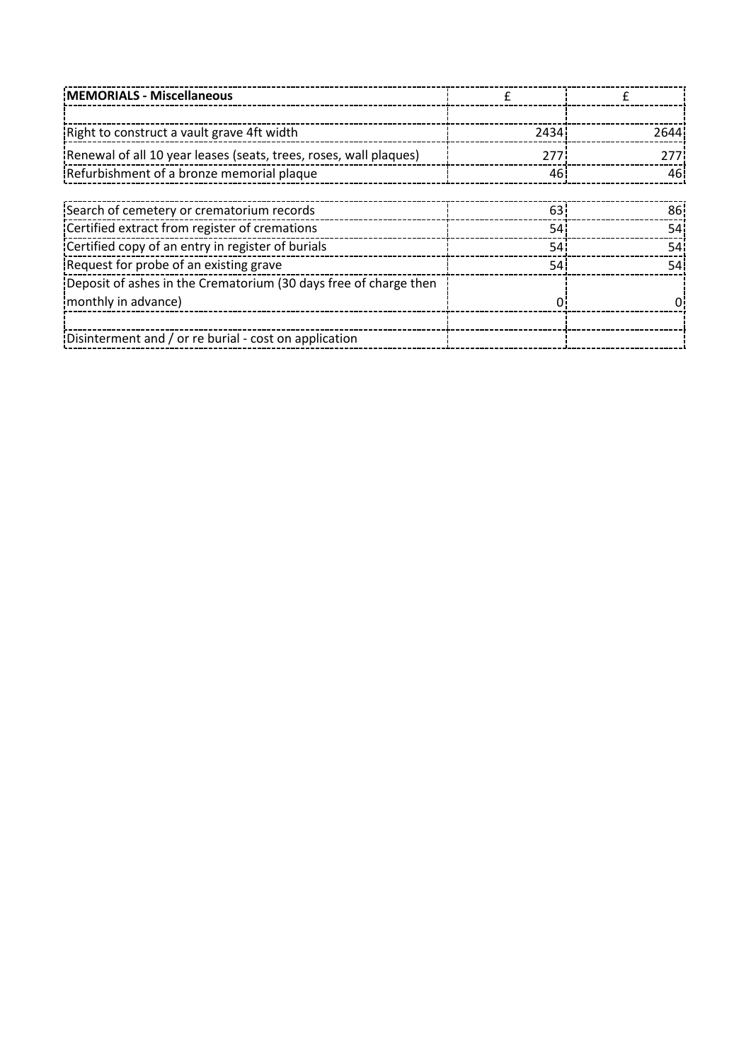| MEMORIALS - Miscellaneous                                         |      |                 |
|-------------------------------------------------------------------|------|-----------------|
|                                                                   |      |                 |
| Right to construct a vault grave 4ft width                        | 2434 | 2644            |
| Renewal of all 10 year leases (seats, trees, roses, wall plaques) | 277  | 277             |
| Refurbishment of a bronze memorial plaque                         | 46   | 461             |
|                                                                   |      |                 |
| Search of cemetery or crematorium records                         | 63   | 86!             |
| Certified extract from register of cremations                     | 54   | 54              |
| Certified copy of an entry in register of burials                 | 54   | 54 <sub>1</sub> |
| Request for probe of an existing grave                            | 54 i | 54 i            |
| Deposit of ashes in the Crematorium (30 days free of charge then  |      |                 |
| monthly in advance)                                               |      |                 |
|                                                                   |      |                 |
| Disinterment and / or re burial - cost on application             |      |                 |